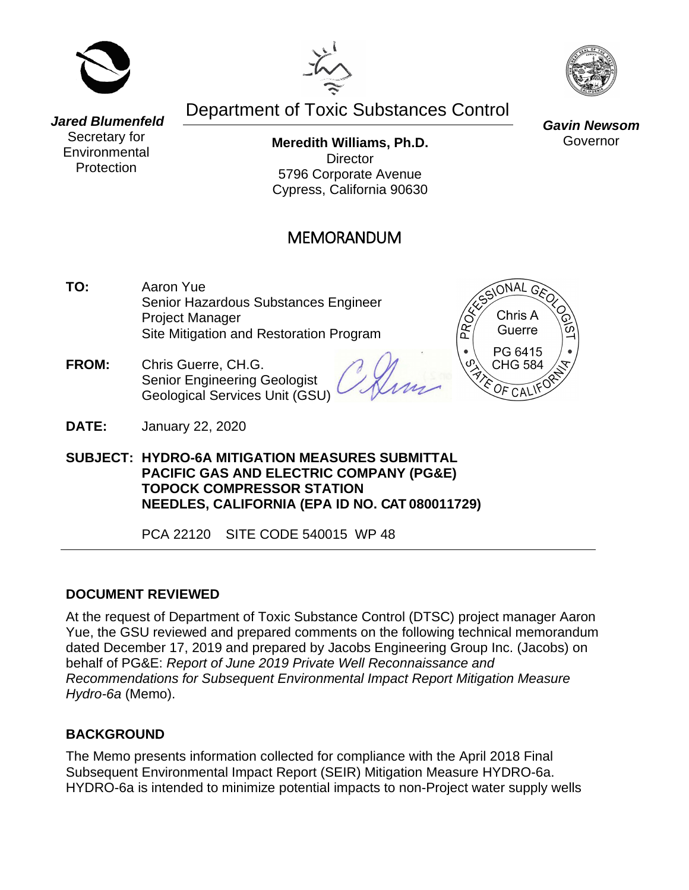





# Department of Toxic Substances Control

*Jared Blumenfeld* Secretary for **Environmental Protection** 

**Meredith Williams, Ph.D. Director** 5796 Corporate Avenue Cypress, California 90630

## MEMORANDUM

- **TO:** Aaron Yue Senior Hazardous Substances Engineer Project Manager Site Mitigation and Restoration Program
- **FROM:** Chris Guerre, CH.G. Senior Engineering Geologist Geological Services Unit (GSU)

 $ONAL$   $G$ Chris A Guerre PG 6415 **CHG 584** 

**DATE:** January 22, 2020

**SUBJECT: HYDRO-6A MITIGATION MEASURES SUBMITTAL PACIFIC GAS AND ELECTRIC COMPANY (PG&E) TOPOCK COMPRESSOR STATION NEEDLES, CALIFORNIA (EPA ID NO. CAT 080011729)**

PCA 22120 SITE CODE 540015 WP 48

#### **DOCUMENT REVIEWED**

At the request of Department of Toxic Substance Control (DTSC) project manager Aaron Yue, the GSU reviewed and prepared comments on the following technical memorandum dated December 17, 2019 and prepared by Jacobs Engineering Group Inc. (Jacobs) on behalf of PG&E: *Report of June 2019 Private Well Reconnaissance and Recommendations for Subsequent Environmental Impact Report Mitigation Measure Hydro-6a* (Memo).

### **BACKGROUND**

The Memo presents information collected for compliance with the April 2018 Final Subsequent Environmental Impact Report (SEIR) Mitigation Measure HYDRO-6a. HYDRO-6a is intended to minimize potential impacts to non-Project water supply wells

*Gavin Newsom* Governor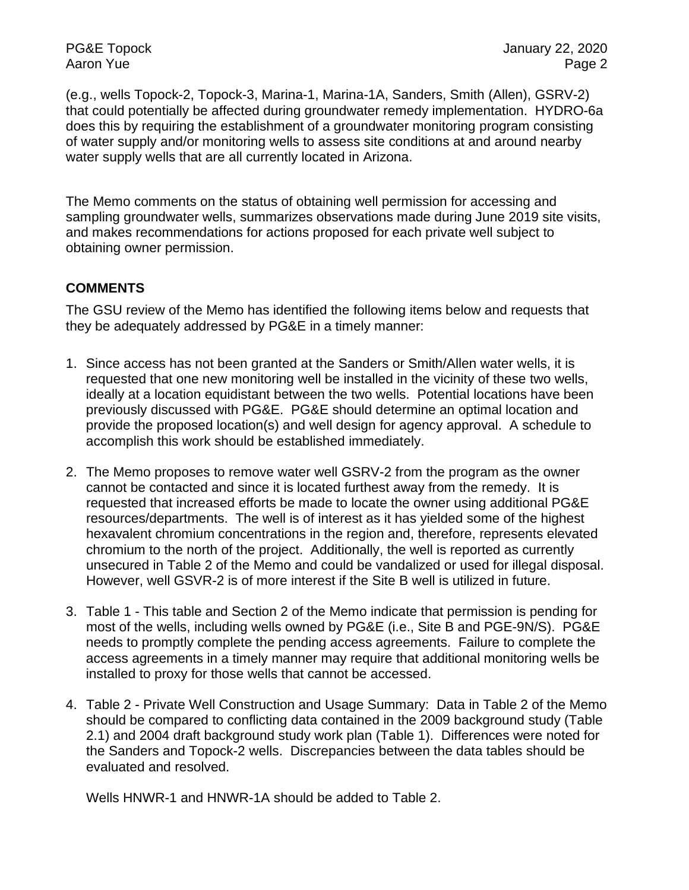(e.g., wells Topock-2, Topock-3, Marina-1, Marina-1A, Sanders, Smith (Allen), GSRV-2) that could potentially be affected during groundwater remedy implementation. HYDRO-6a does this by requiring the establishment of a groundwater monitoring program consisting of water supply and/or monitoring wells to assess site conditions at and around nearby water supply wells that are all currently located in Arizona.

The Memo comments on the status of obtaining well permission for accessing and sampling groundwater wells, summarizes observations made during June 2019 site visits, and makes recommendations for actions proposed for each private well subject to obtaining owner permission.

#### **COMMENTS**

The GSU review of the Memo has identified the following items below and requests that they be adequately addressed by PG&E in a timely manner:

- 1. Since access has not been granted at the Sanders or Smith/Allen water wells, it is requested that one new monitoring well be installed in the vicinity of these two wells, ideally at a location equidistant between the two wells. Potential locations have been previously discussed with PG&E. PG&E should determine an optimal location and provide the proposed location(s) and well design for agency approval. A schedule to accomplish this work should be established immediately.
- 2. The Memo proposes to remove water well GSRV-2 from the program as the owner cannot be contacted and since it is located furthest away from the remedy. It is requested that increased efforts be made to locate the owner using additional PG&E resources/departments. The well is of interest as it has yielded some of the highest hexavalent chromium concentrations in the region and, therefore, represents elevated chromium to the north of the project. Additionally, the well is reported as currently unsecured in Table 2 of the Memo and could be vandalized or used for illegal disposal. However, well GSVR-2 is of more interest if the Site B well is utilized in future.
- 3. Table 1 This table and Section 2 of the Memo indicate that permission is pending for most of the wells, including wells owned by PG&E (i.e., Site B and PGE-9N/S). PG&E needs to promptly complete the pending access agreements. Failure to complete the access agreements in a timely manner may require that additional monitoring wells be installed to proxy for those wells that cannot be accessed.
- 4. Table 2 Private Well Construction and Usage Summary: Data in Table 2 of the Memo should be compared to conflicting data contained in the 2009 background study (Table 2.1) and 2004 draft background study work plan (Table 1). Differences were noted for the Sanders and Topock-2 wells. Discrepancies between the data tables should be evaluated and resolved.

Wells HNWR-1 and HNWR-1A should be added to Table 2.